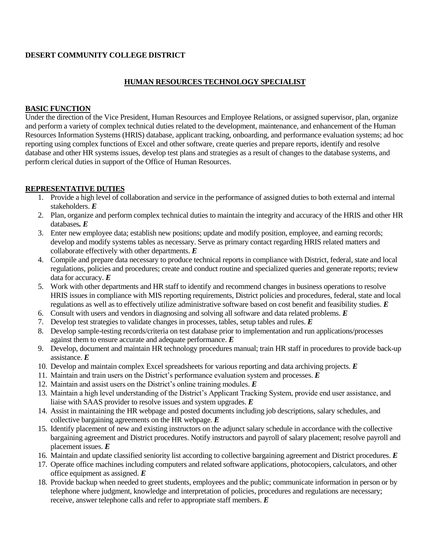#### **DESERT COMMUNITY COLLEGE DISTRICT**

### **HUMAN RESOURCES TECHNOLOGY SPECIALIST**

#### **BASIC FUNCTION**

Under the direction of the Vice President, Human Resources and Employee Relations, or assigned supervisor, plan, organize and perform a variety of complex technical duties related to the development, maintenance, and enhancement of the Human Resources Information Systems (HRIS) database, applicant tracking, onboarding, and performance evaluation systems; ad hoc reporting using complex functions of Excel and other software, create queries and prepare reports, identify and resolve database and other HR systems issues, develop test plans and strategies as a result of changes to the database systems, and perform clerical duties in support of the Office of Human Resources.

#### **REPRESENTATIVE DUTIES**

- 1. Provide a high level of collaboration and service in the performance of assigned duties to both external and internal stakeholders. *E*
- 2. Plan, organize and perform complex technical duties to maintain the integrity and accuracy of the HRIS and other HR databases*. E*
- 3. Enter new employee data; establish new positions; update and modify position, employee, and earning records; develop and modify systems tables as necessary. Serve as primary contact regarding HRIS related matters and collaborate effectively with other departments. *E*
- 4. Compile and prepare data necessary to produce technical reports in compliance with District, federal, state and local regulations, policies and procedures; create and conduct routine and specialized queries and generate reports; review data for accuracy. *E*
- 5. Work with other departments and HR staff to identify and recommend changes in business operations to resolve HRIS issues in compliance with MIS reporting requirements, District policies and procedures, federal, state and local regulations as well as to effectively utilize administrative software based on cost benefit and feasibility studies. *E*
- 6. Consult with users and vendors in diagnosing and solving all software and data related problems. *E*
- 7. Develop test strategies to validate changes in processes, tables, setup tables and rules. *E*
- 8. Develop sample-testing records/criteria on test database prior to implementation and run applications/processes against them to ensure accurate and adequate performance. *E*
- 9. Develop, document and maintain HR technology procedures manual; train HR staff in procedures to provide back-up assistance. *E*
- 10. Develop and maintain complex Excel spreadsheets for various reporting and data archiving projects. *E*
- 11. Maintain and train users on the District's performance evaluation system and processes. *E*
- 12. Maintain and assist users on the District's online training modules. *E*
- 13. Maintain a high level understanding of the District's Applicant Tracking System, provide end user assistance, and liaise with SAAS provider to resolve issues and system upgrades. *E*
- 14. Assist in maintaining the HR webpage and posted documents including job descriptions, salary schedules, and collective bargaining agreements on the HR webpage. *E*
- 15. Identify placement of new and existing instructors on the adjunct salary schedule in accordance with the collective bargaining agreement and District procedures. Notify instructors and payroll of salary placement; resolve payroll and placement issues. *E*
- 16. Maintain and update classified seniority list according to collective bargaining agreement and District procedures. *E*
- 17. Operate office machines including computers and related software applications, photocopiers, calculators, and other office equipment as assigned. *E*
- 18. Provide backup when needed to greet students, employees and the public; communicate information in person or by telephone where judgment, knowledge and interpretation of policies, procedures and regulations are necessary; receive, answer telephone calls and refer to appropriate staff members. *E*